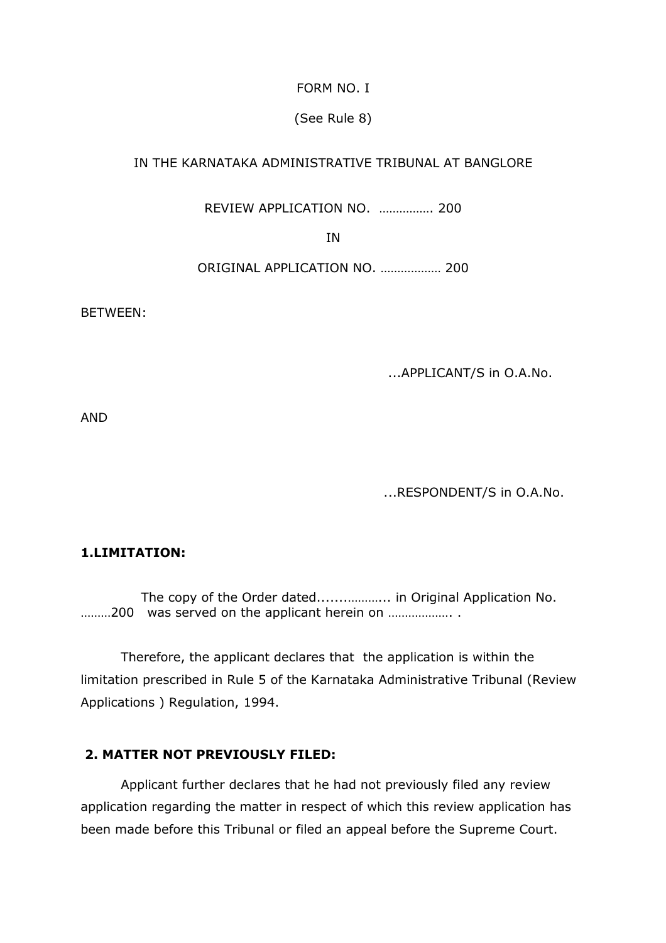FORM NO. I

(See Rule 8)

# IN THE KARNATAKA ADMINISTRATIVE TRIBUNAL AT BANGLORE

REVIEW APPLICATION NO. ……………. 200

IN

ORIGINAL APPLICATION NO. ……………… 200

BETWEEN:

...APPLICANT/S in O.A.No.

AND

...RESPONDENT/S in O.A.No.

## **1.LIMITATION:**

 The copy of the Order dated.......………... in Original Application No. ………200 was served on the applicant herein on ………………. .

 Therefore, the applicant declares that the application is within the limitation prescribed in Rule 5 of the Karnataka Administrative Tribunal (Review Applications ) Regulation, 1994.

#### **2. MATTER NOT PREVIOUSLY FILED:**

 Applicant further declares that he had not previously filed any review application regarding the matter in respect of which this review application has been made before this Tribunal or filed an appeal before the Supreme Court.